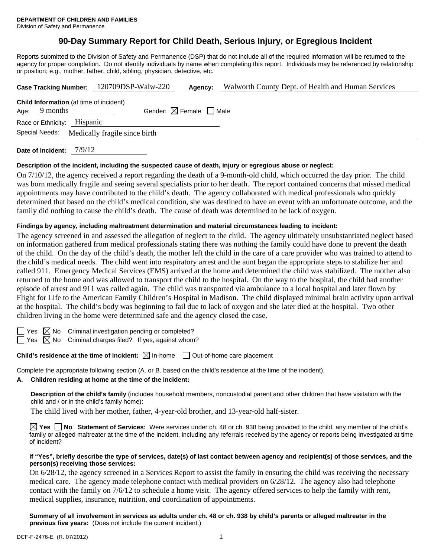# **90-Day Summary Report for Child Death, Serious Injury, or Egregious Incident**

Reports submitted to the Division of Safety and Permanence (DSP) that do not include all of the required information will be returned to the agency for proper completion. Do not identify individuals by name when completing this report. Individuals may be referenced by relationship or position; e.g., mother, father, child, sibling, physician, detective, etc.

|                                                                   | Case Tracking Number: 120709DSP-Walw-220 | Agency:                                | Walworth County Dept. of Health and Human Services |
|-------------------------------------------------------------------|------------------------------------------|----------------------------------------|----------------------------------------------------|
| <b>Child Information</b> (at time of incident)<br>Age: $9$ months |                                          | Gender: $\boxtimes$ Female $\Box$ Male |                                                    |
| Race or Ethnicity: Hispanic<br>Special Needs:                     | Medically fragile since birth            |                                        |                                                    |
|                                                                   |                                          |                                        |                                                    |

**Date of Incident:** 7/9/12

### **Description of the incident, including the suspected cause of death, injury or egregious abuse or neglect:**

On 7/10/12, the agency received a report regarding the death of a 9-month-old child, which occurred the day prior. The child was born medically fragile and seeing several specialists prior to her death. The report contained concerns that missed medical appointments may have contributed to the child's death. The agency collaborated with medical professionals who quickly determined that based on the child's medical condition, she was destined to have an event with an unfortunate outcome, and the family did nothing to cause the child's death. The cause of death was determined to be lack of oxygen.

### **Findings by agency, including maltreatment determination and material circumstances leading to incident:**

The agency screened in and assessed the allegation of neglect to the child. The agency ultimately unsubstantiated neglect based on information gathered from medical professionals stating there was nothing the family could have done to prevent the death of the child. On the day of the child's death, the mother left the child in the care of a care provider who was trained to attend to the child's medical needs. The child went into respiratory arrest and the aunt began the appropriate steps to stabilize her and called 911. Emergency Medical Services (EMS) arrived at the home and determined the child was stabilized. The mother also returned to the home and was allowed to transport the child to the hospital. On the way to the hospital, the child had another episode of arrest and 911 was called again. The child was transported via ambulance to a local hospital and later flown by Flight for Life to the American Family Children's Hospital in Madison. The child displayed minimal brain activity upon arrival at the hospital. The child's body was beginning to fail due to lack of oxygen and she later died at the hospital. Two other children living in the home were determined safe and the agency closed the case.

 $\Box$  Yes  $\boxtimes$  No Criminal investigation pending or completed?

 $\Box$  Yes  $\boxtimes$  No Criminal charges filed? If yes, against whom?

**Child's residence at the time of incident:** ⊠ In-home □ Out-of-home care placement

Complete the appropriate following section (A. or B. based on the child's residence at the time of the incident).

#### **A. Children residing at home at the time of the incident:**

**Description of the child's family** (includes household members, noncustodial parent and other children that have visitation with the child and / or in the child's family home):

The child lived with her mother, father, 4-year-old brother, and 13-year-old half-sister.

**Yes No Statement of Services:** Were services under ch. 48 or ch. 938 being provided to the child, any member of the child's family or alleged maltreater at the time of the incident, including any referrals received by the agency or reports being investigated at time of incident?

### **If "Yes", briefly describe the type of services, date(s) of last contact between agency and recipient(s) of those services, and the person(s) receiving those services:**

On 6/28/12, the agency screened in a Services Report to assist the family in ensuring the child was receiving the necessary medical care. The agency made telephone contact with medical providers on 6/28/12. The agency also had telephone contact with the family on 7/6/12 to schedule a home visit. The agency offered services to help the family with rent, medical supplies, insurance, nutrition, and coordination of appointments.

**Summary of all involvement in services as adults under ch. 48 or ch. 938 by child's parents or alleged maltreater in the previous five years:** (Does not include the current incident.)